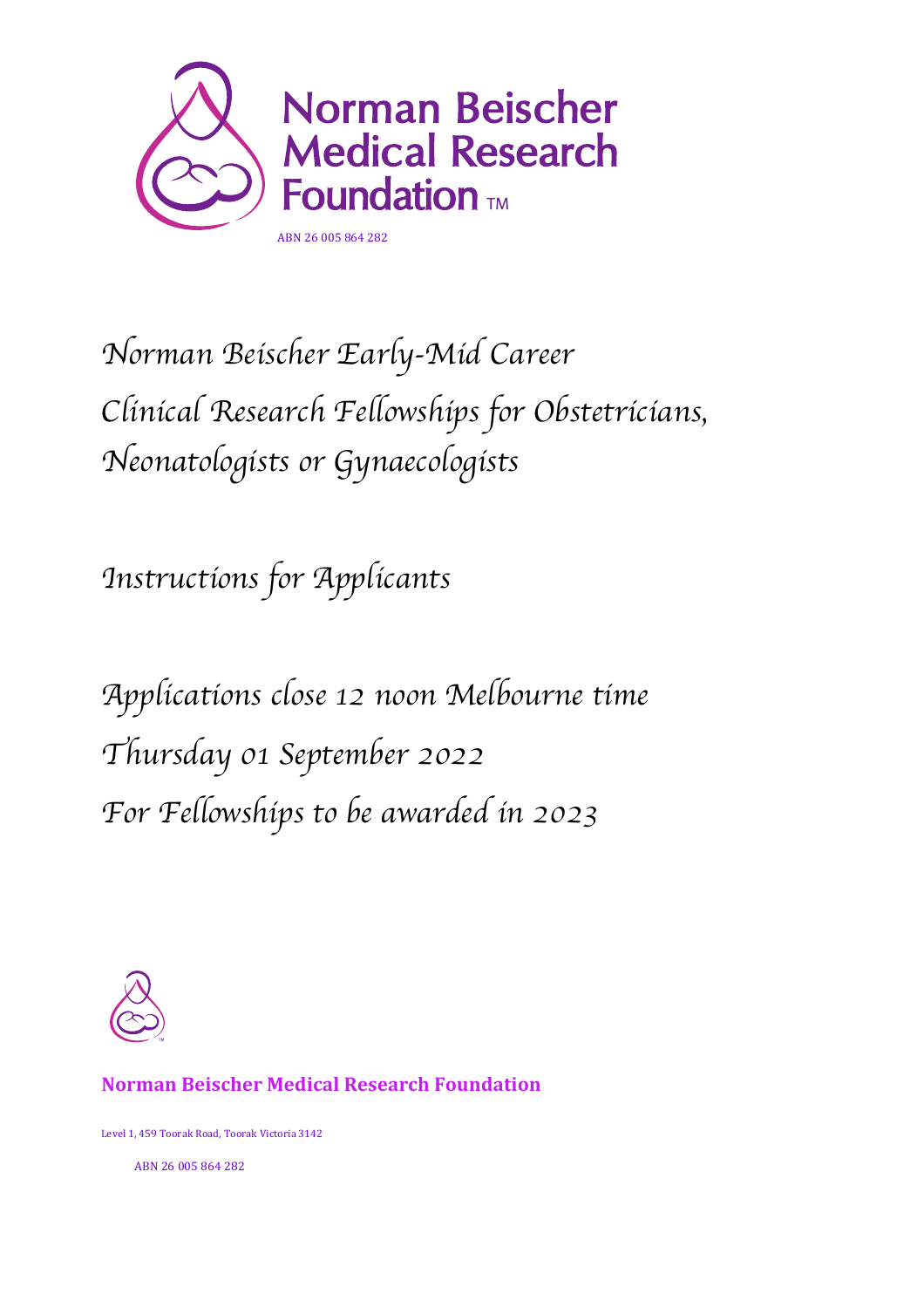

# *Norman Beischer Early-Mid Career Clinical Research Fellowships for Obstetricians, Neonatologists or Gynaecologists*

*Instructions for Applicants*

*Applications close 12 noon Melbourne time Thursday 01 September 2022 For Fellowships to be awarded in 2023*



#### **Norman Beischer Medical Research Foundation**

Level 1, 459 Toorak Road, Toorak Victoria 3142

ABN 26 005 864 282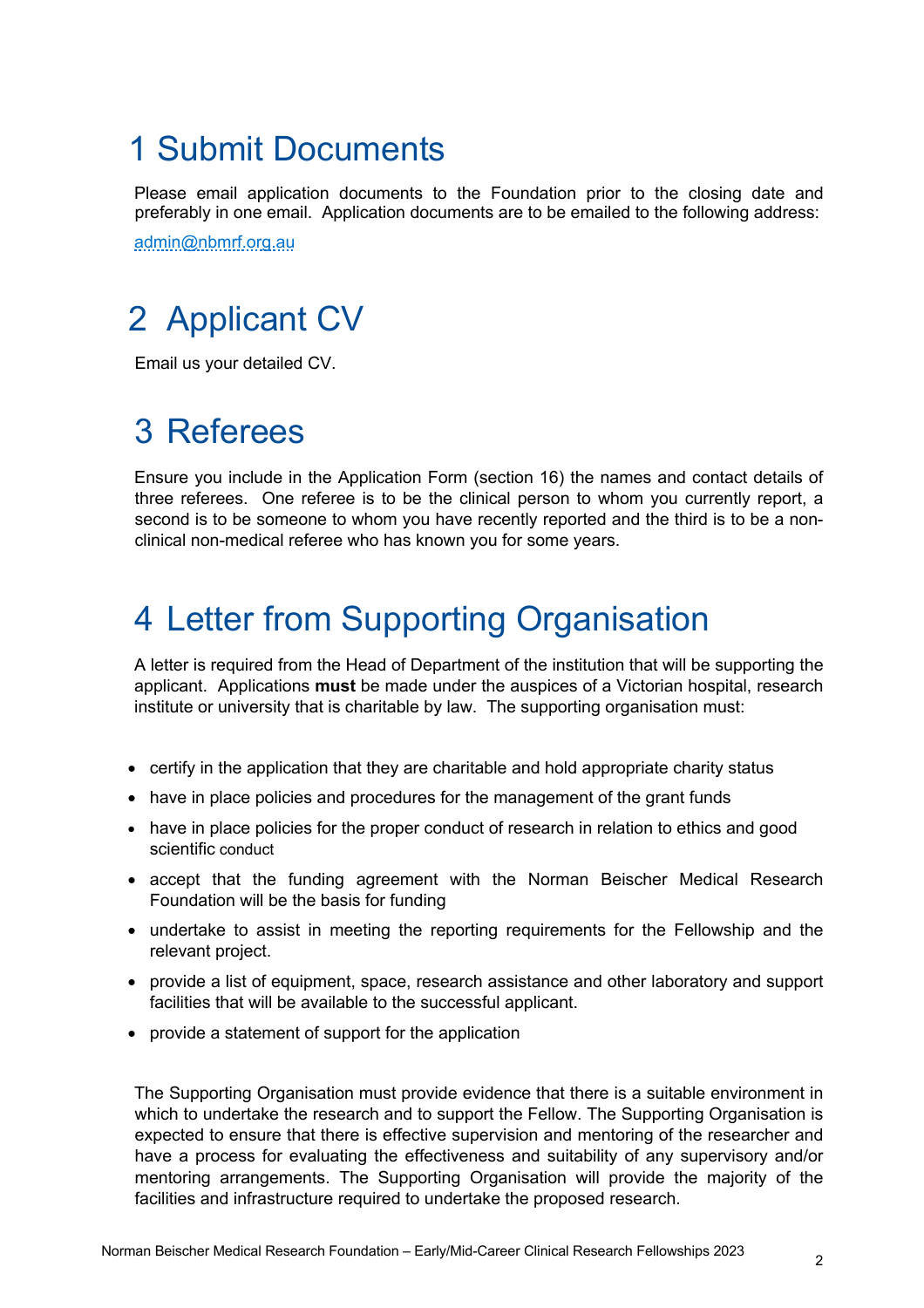## 1 Submit Documents

Please email application documents to the Foundation prior to the closing date and preferably in one email. Application documents are to be emailed to the following address:

admin@nbmrf.org.au

# 2 Applicant CV

Email us your detailed CV.

# 3 Referees

Ensure you include in the Application Form (section 16) the names and contact details of three referees. One referee is to be the clinical person to whom you currently report, a second is to be someone to whom you have recently reported and the third is to be a nonclinical non-medical referee who has known you for some years.

### 4 Letter from Supporting Organisation

A letter is required from the Head of Department of the institution that will be supporting the applicant. Applications **must** be made under the auspices of a Victorian hospital, research institute or university that is charitable by law. The supporting organisation must:

- certify in the application that they are charitable and hold appropriate charity status
- have in place policies and procedures for the management of the grant funds
- have in place policies for the proper conduct of research in relation to ethics and good scientific conduct
- accept that the funding agreement with the Norman Beischer Medical Research Foundation will be the basis for funding
- undertake to assist in meeting the reporting requirements for the Fellowship and the relevant project.
- provide a list of equipment, space, research assistance and other laboratory and support facilities that will be available to the successful applicant.
- provide a statement of support for the application

The Supporting Organisation must provide evidence that there is a suitable environment in which to undertake the research and to support the Fellow. The Supporting Organisation is expected to ensure that there is effective supervision and mentoring of the researcher and have a process for evaluating the effectiveness and suitability of any supervisory and/or mentoring arrangements. The Supporting Organisation will provide the majority of the facilities and infrastructure required to undertake the proposed research.